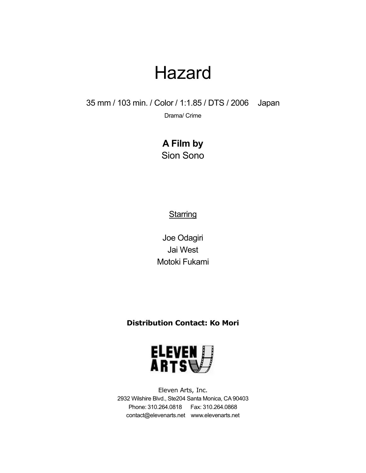35 mm / 103 min. / Color / 1:1.85 / DTS / 2006 Japan

Drama/ Crime

**A Film by** Sion Sono

**Starring** 

Joe Odagiri Jai West Motoki Fukami

**Distribution Contact: Ko Mori**



Eleven Arts, Inc. 2932 Wilshire Blvd., Ste204 Santa Monica, CA90403 Phone: 310.264.0818 Fax: 310.264.0868 contact@elevenarts.net www.elevenarts.net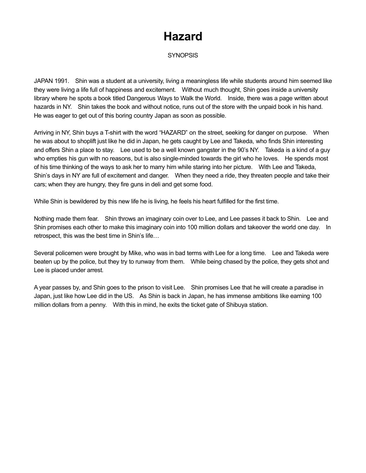**SYNOPSIS** 

JAPAN 1991. Shin was a student at a university, living a meaningless life while students around him seemed like they were living a life full of happiness and excitement. Without much thought, Shin goes inside a university library where he spots a book titled Dangerous Ways to Walk the World. Inside, there was a page written about hazards in NY. Shin takes the book and without notice, runs out of the store with the unpaid book in his hand. He was eager to get out of this boring country Japan as soon as possible.

Arriving in NY, Shin buys a T-shirt with the word "HAZARD" on the street, seeking for danger on purpose. When he was about to shoplift just like he did in Japan, he gets caught by Lee and Takeda, who finds Shin interesting and offers Shin a place to stay. Lee used to be a well known gangster in the 90's NY. Takeda is a kind of a guy who empties his gun with no reasons, but is also single-minded towards the girl who he loves. He spends most of his time thinking of the ways to ask her to marry him while staring into her picture. With Lee and Takeda, Shin's days in NY are full of excitement and danger. When they need a ride, they threaten people and take their cars; when they are hungry, they fire guns in deli and get some food.

While Shin is bewildered by this new life he is living, he feels his heart fulfilled for the first time.

Nothing made them fear. Shin throws an imaginary coin over to Lee, and Lee passes it back to Shin. Lee and Shin promises each other to make this imaginary coin into 100 million dollars and takeover the world one day. In retrospect, this was the best time in Shin's life…

Several policemen were brought by Mike, who was in bad terms with Lee for a long time. Lee and Takeda were beaten up by the police, but they try to runway from them. While being chased by the police, they gets shot and Lee is placed under arrest.

A year passes by, and Shin goes to the prison to visit Lee. Shin promises Lee that he will create a paradise in Japan, just like how Lee did in the US. As Shin is back in Japan, he has immense ambitions like earning 100 million dollars from a penny. With this in mind, he exits the ticket gate of Shibuya station.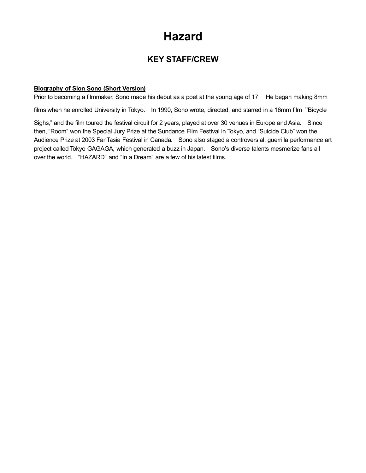### **KEY STAFF/CREW**

#### **Biography of Sion Sono (Short Version)**

Prior to becoming a filmmaker, Sono made his debut as a poet at the young age of 17. He began making 8mm

films when he enrolled University in Tokyo. In 1990, Sono wrote, directed, and starred in a 16mm film "Bicycle

Sighs," and the film toured the festival circuit for 2 years, played at over 30 venues in Europe and Asia. Since then, "Room" won the Special Jury Prize at the Sundance Film Festival in Tokyo, and "Suicide Club" won the Audience Prize at 2003 FanTasia Festival in Canada. Sono also staged a controversial, guerrilla performance art project called Tokyo GAGAGA, which generated a buzz in Japan. Sono's diverse talents mesmerize fans all over the world. "HAZARD" and "In a Dream" are a few of his latest films.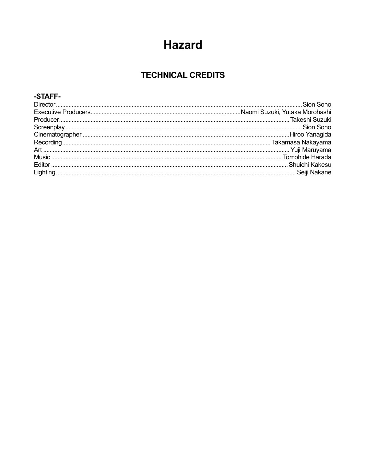### **TECHNICAL CREDITS**

#### -STAFF-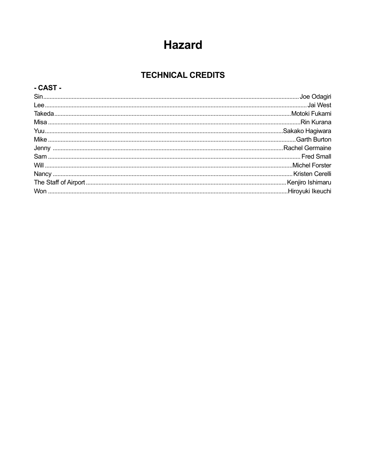### **TECHNICAL CREDITS**

#### - CAST -